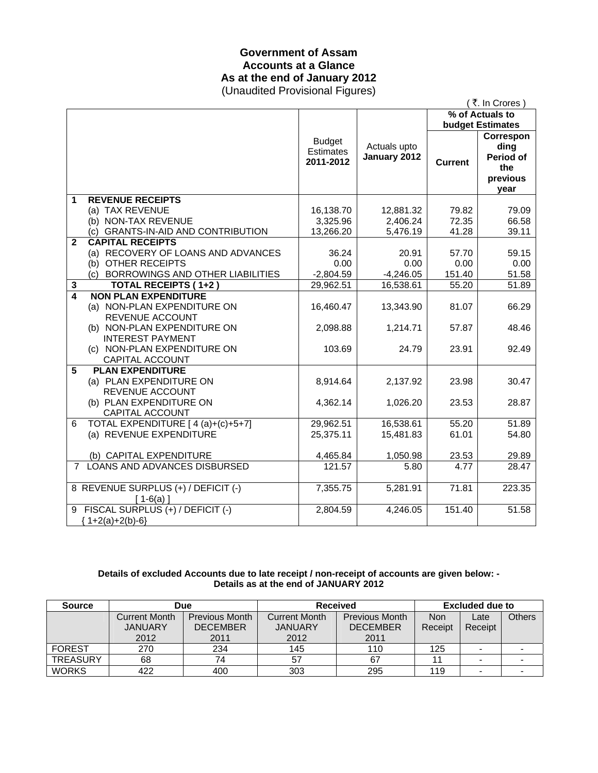### **Government of Assam Accounts at a Glance As at the end of January 2012**  (Unaudited Provisional Figures)

|                  |                                                                       |                                                |                              |                 | (₹. In Crores)                               |
|------------------|-----------------------------------------------------------------------|------------------------------------------------|------------------------------|-----------------|----------------------------------------------|
|                  |                                                                       |                                                |                              | % of Actuals to |                                              |
|                  |                                                                       |                                                |                              |                 | <b>budget Estimates</b><br>Correspon         |
|                  |                                                                       | <b>Budget</b><br><b>Estimates</b><br>2011-2012 | Actuals upto<br>January 2012 | <b>Current</b>  | ding<br>Period of<br>the<br>previous<br>year |
| 1                | <b>REVENUE RECEIPTS</b>                                               |                                                |                              |                 |                                              |
|                  | (a) TAX REVENUE                                                       | 16,138.70                                      | 12,881.32                    | 79.82           | 79.09                                        |
|                  | (b) NON-TAX REVENUE                                                   | 3,325.96                                       | 2,406.24                     | 72.35           | 66.58                                        |
|                  | (c) GRANTS-IN-AID AND CONTRIBUTION                                    | 13,266.20                                      | 5,476.19                     | 41.28           | 39.11                                        |
| $\mathbf{2}$     | <b>CAPITAL RECEIPTS</b>                                               | 36.24                                          | 20.91                        | 57.70           |                                              |
|                  | (a) RECOVERY OF LOANS AND ADVANCES<br>(b) OTHER RECEIPTS              | 0.00                                           | 0.00                         | 0.00            | 59.15<br>0.00                                |
|                  | (c) BORROWINGS AND OTHER LIABILITIES                                  | $-2,804.59$                                    | $-4,246.05$                  | 151.40          | 51.58                                        |
| 3                | <b>TOTAL RECEIPTS (1+2)</b>                                           | 29,962.51                                      | 16,538.61                    | 55.20           | 51.89                                        |
| $\boldsymbol{4}$ | <b>NON PLAN EXPENDITURE</b>                                           |                                                |                              |                 |                                              |
|                  | (a) NON-PLAN EXPENDITURE ON<br>REVENUE ACCOUNT                        | 16,460.47                                      | 13,343.90                    | 81.07           | 66.29                                        |
|                  | (b) NON-PLAN EXPENDITURE ON<br><b>INTEREST PAYMENT</b>                | 2,098.88                                       | 1,214.71                     | 57.87           | 48.46                                        |
|                  | (c) NON-PLAN EXPENDITURE ON<br>CAPITAL ACCOUNT                        | 103.69                                         | 24.79                        | 23.91           | 92.49                                        |
| 5                | <b>PLAN EXPENDITURE</b><br>(a) PLAN EXPENDITURE ON<br>REVENUE ACCOUNT | 8,914.64                                       | 2,137.92                     | 23.98           | 30.47                                        |
|                  | (b) PLAN EXPENDITURE ON<br>CAPITAL ACCOUNT                            | 4,362.14                                       | 1,026.20                     | 23.53           | 28.87                                        |
| 6                | TOTAL EXPENDITURE [ 4 (a)+(c)+5+7]<br>(a) REVENUE EXPENDITURE         | 29,962.51<br>25,375.11                         | 16,538.61<br>15,481.83       | 55.20<br>61.01  | 51.89<br>54.80                               |
|                  | (b) CAPITAL EXPENDITURE                                               | 4,465.84                                       | 1,050.98                     | 23.53           | 29.89                                        |
| $7^{\circ}$      | LOANS AND ADVANCES DISBURSED                                          | 121.57                                         | 5.80                         | 4.77            | 28.47                                        |
|                  | 8 REVENUE SURPLUS (+) / DEFICIT (-)<br>$[1-6(a)]$                     | 7,355.75                                       | 5,281.91                     | 71.81           | 223.35                                       |
|                  | 9 FISCAL SURPLUS (+) / DEFICIT (-)<br>${1+2(a)+2(b)-6}$               | 2,804.59                                       | 4,246.05                     | 151.40          | 51.58                                        |

### **Details of excluded Accounts due to late receipt / non-receipt of accounts are given below: - Details as at the end of JANUARY 2012**

| <b>Source</b>   | <b>Due</b>           |                       | <b>Received</b> |                       | <b>Excluded due to</b> |                |               |
|-----------------|----------------------|-----------------------|-----------------|-----------------------|------------------------|----------------|---------------|
|                 | <b>Current Month</b> | <b>Previous Month</b> | Current Month   | <b>Previous Month</b> | <b>Non</b>             | ∟ate           | <b>Others</b> |
|                 | <b>JANUARY</b>       | <b>DECEMBER</b>       | <b>JANUARY</b>  | <b>DECEMBER</b>       | Receipt                | Receipt        |               |
|                 | 2012                 | 2011                  | 2012            | 2011                  |                        |                |               |
| <b>FOREST</b>   | 270                  | 234                   | 145             | 110                   | 125                    |                |               |
| <b>TREASURY</b> | 68                   | 74                    | 57              | 67                    |                        | $\blacksquare$ |               |
| <b>WORKS</b>    | 422                  | 400                   | 303             | 295                   | 119                    |                |               |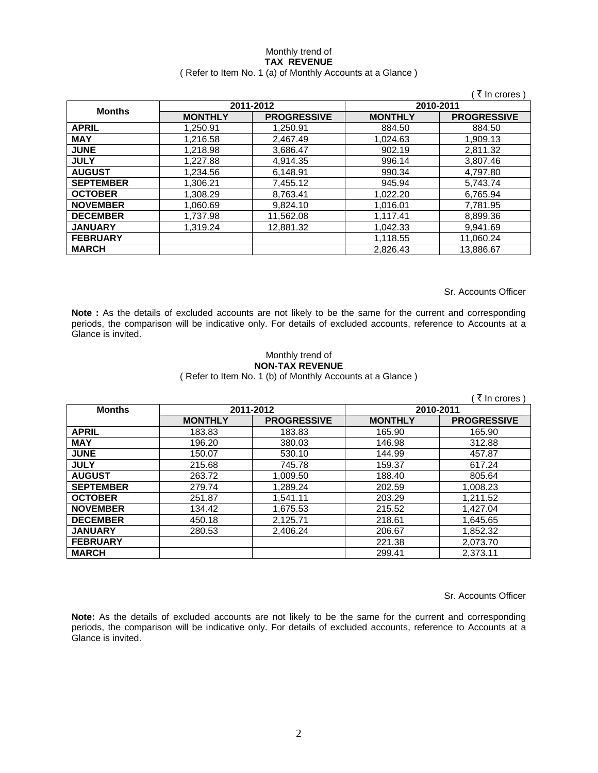#### Monthly trend of **TAX REVENUE**  ( Refer to Item No. 1 (a) of Monthly Accounts at a Glance )

|                  |                |                    |                | ₹ In crores )      |
|------------------|----------------|--------------------|----------------|--------------------|
|                  |                | 2011-2012          | 2010-2011      |                    |
| <b>Months</b>    | <b>MONTHLY</b> | <b>PROGRESSIVE</b> | <b>MONTHLY</b> | <b>PROGRESSIVE</b> |
| <b>APRIL</b>     | 1,250.91       | 1,250.91           | 884.50         | 884.50             |
| <b>MAY</b>       | 1.216.58       | 2.467.49           | 1.024.63       | 1,909.13           |
| <b>JUNE</b>      | 1,218.98       | 3,686.47           | 902.19         | 2,811.32           |
| <b>JULY</b>      | 1,227.88       | 4,914.35           | 996.14         | 3,807.46           |
| <b>AUGUST</b>    | 1,234.56       | 6,148.91           | 990.34         | 4,797.80           |
| <b>SEPTEMBER</b> | 1,306.21       | 7,455.12           | 945.94         | 5,743.74           |
| <b>OCTOBER</b>   | 1,308.29       | 8,763.41           | 1,022.20       | 6,765.94           |
| <b>NOVEMBER</b>  | 1,060.69       | 9,824.10           | 1,016.01       | 7,781.95           |
| <b>DECEMBER</b>  | 1,737.98       | 11,562.08          | 1,117.41       | 8,899.36           |
| <b>JANUARY</b>   | 1,319.24       | 12,881.32          | 1,042.33       | 9.941.69           |
| <b>FEBRUARY</b>  |                |                    | 1,118.55       | 11,060.24          |
| <b>MARCH</b>     |                |                    | 2.826.43       | 13,886.67          |

Sr. Accounts Officer

**Note :** As the details of excluded accounts are not likely to be the same for the current and corresponding periods, the comparison will be indicative only. For details of excluded accounts, reference to Accounts at a Glance is invited.

### Monthly trend of **NON-TAX REVENUE**

( Refer to Item No. 1 (b) of Monthly Accounts at a Glance )

|                  |                |                    |                | ₹ In crores )      |
|------------------|----------------|--------------------|----------------|--------------------|
| <b>Months</b>    |                | 2011-2012          |                | 2010-2011          |
|                  | <b>MONTHLY</b> | <b>PROGRESSIVE</b> | <b>MONTHLY</b> | <b>PROGRESSIVE</b> |
| <b>APRIL</b>     | 183.83         | 183.83             | 165.90         | 165.90             |
| <b>MAY</b>       | 196.20         | 380.03             | 146.98         | 312.88             |
| <b>JUNE</b>      | 150.07         | 530.10             | 144.99         | 457.87             |
| <b>JULY</b>      | 215.68         | 745.78             | 159.37         | 617.24             |
| <b>AUGUST</b>    | 263.72         | 1,009.50           | 188.40         | 805.64             |
| <b>SEPTEMBER</b> | 279.74         | 1,289.24           | 202.59         | 1.008.23           |
| <b>OCTOBER</b>   | 251.87         | 1,541.11           | 203.29         | 1,211.52           |
| <b>NOVEMBER</b>  | 134.42         | 1,675.53           | 215.52         | 1,427.04           |
| <b>DECEMBER</b>  | 450.18         | 2,125.71           | 218.61         | 1,645.65           |
| <b>JANUARY</b>   | 280.53         | 2,406.24           | 206.67         | 1,852.32           |
| <b>FEBRUARY</b>  |                |                    | 221.38         | 2,073.70           |
| <b>MARCH</b>     |                |                    | 299.41         | 2,373.11           |

Sr. Accounts Officer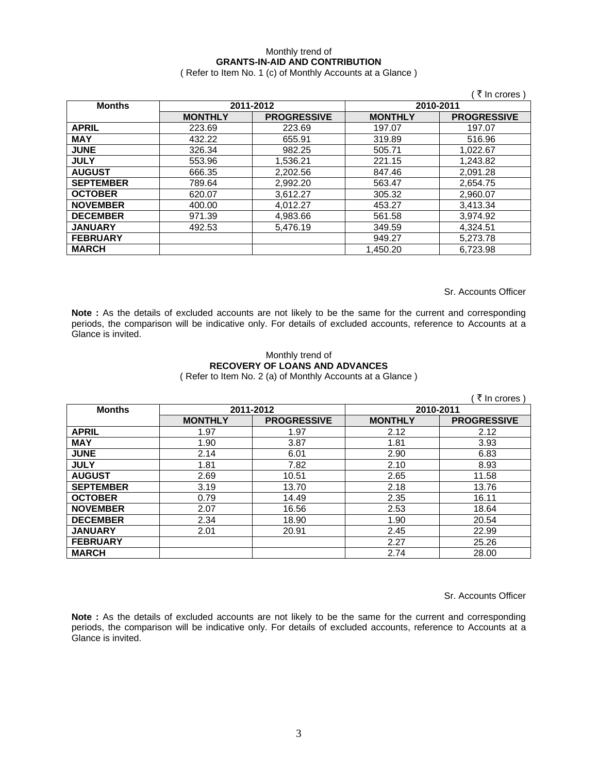## Monthly trend of **GRANTS-IN-AID AND CONTRIBUTION**

( Refer to Item No. 1 (c) of Monthly Accounts at a Glance )

|                  |                |                    |                | ₹ In crores)       |
|------------------|----------------|--------------------|----------------|--------------------|
| <b>Months</b>    |                | 2011-2012          | 2010-2011      |                    |
|                  | <b>MONTHLY</b> | <b>PROGRESSIVE</b> | <b>MONTHLY</b> | <b>PROGRESSIVE</b> |
| <b>APRIL</b>     | 223.69         | 223.69             | 197.07         | 197.07             |
| <b>MAY</b>       | 432.22         | 655.91             | 319.89         | 516.96             |
| <b>JUNE</b>      | 326.34         | 982.25             | 505.71         | 1,022.67           |
| <b>JULY</b>      | 553.96         | 1,536.21           | 221.15         | 1,243.82           |
| <b>AUGUST</b>    | 666.35         | 2,202.56           | 847.46         | 2,091.28           |
| <b>SEPTEMBER</b> | 789.64         | 2,992.20           | 563.47         | 2,654.75           |
| <b>OCTOBER</b>   | 620.07         | 3,612.27           | 305.32         | 2,960.07           |
| <b>NOVEMBER</b>  | 400.00         | 4,012.27           | 453.27         | 3,413.34           |
| <b>DECEMBER</b>  | 971.39         | 4,983.66           | 561.58         | 3,974.92           |
| <b>JANUARY</b>   | 492.53         | 5,476.19           | 349.59         | 4,324.51           |
| <b>FEBRUARY</b>  |                |                    | 949.27         | 5,273.78           |
| <b>MARCH</b>     |                |                    | 1.450.20       | 6.723.98           |

Sr. Accounts Officer

**Note :** As the details of excluded accounts are not likely to be the same for the current and corresponding periods, the comparison will be indicative only. For details of excluded accounts, reference to Accounts at a Glance is invited.

### Monthly trend of **RECOVERY OF LOANS AND ADVANCES**  ( Refer to Item No. 2 (a) of Monthly Accounts at a Glance )

|                  |                |                    |                | ₹ In crores)       |
|------------------|----------------|--------------------|----------------|--------------------|
| <b>Months</b>    | 2011-2012      |                    | 2010-2011      |                    |
|                  | <b>MONTHLY</b> | <b>PROGRESSIVE</b> | <b>MONTHLY</b> | <b>PROGRESSIVE</b> |
| <b>APRIL</b>     | 1.97           | 1.97               | 2.12           | 2.12               |
| <b>MAY</b>       | 1.90           | 3.87               | 1.81           | 3.93               |
| <b>JUNE</b>      | 2.14           | 6.01               | 2.90           | 6.83               |
| <b>JULY</b>      | 1.81           | 7.82               | 2.10           | 8.93               |
| <b>AUGUST</b>    | 2.69           | 10.51              | 2.65           | 11.58              |
| <b>SEPTEMBER</b> | 3.19           | 13.70              | 2.18           | 13.76              |
| <b>OCTOBER</b>   | 0.79           | 14.49              | 2.35           | 16.11              |
| <b>NOVEMBER</b>  | 2.07           | 16.56              | 2.53           | 18.64              |
| <b>DECEMBER</b>  | 2.34           | 18.90              | 1.90           | 20.54              |
| <b>JANUARY</b>   | 2.01           | 20.91              | 2.45           | 22.99              |
| <b>FEBRUARY</b>  |                |                    | 2.27           | 25.26              |
| <b>MARCH</b>     |                |                    | 2.74           | 28.00              |

Sr. Accounts Officer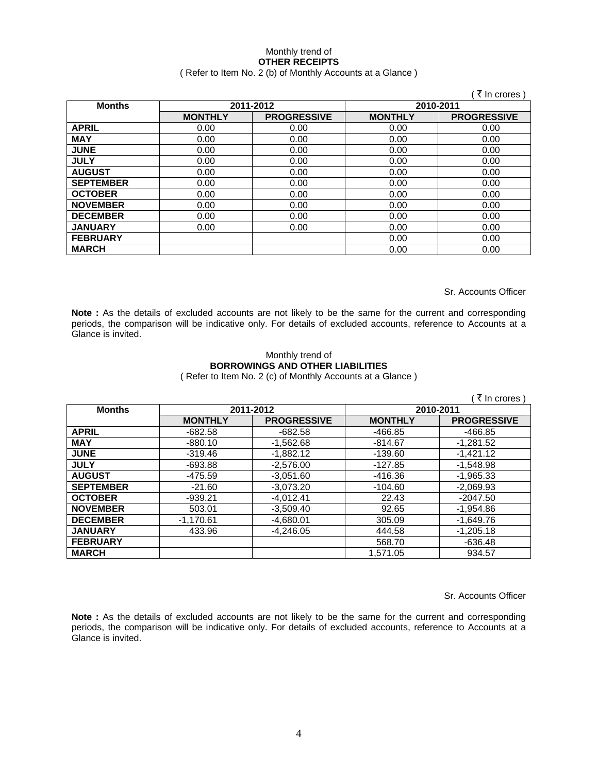### Monthly trend of **OTHER RECEIPTS**  ( Refer to Item No. 2 (b) of Monthly Accounts at a Glance )

|                  |                |                    |                | ₹ In crores)       |
|------------------|----------------|--------------------|----------------|--------------------|
| <b>Months</b>    | 2011-2012      |                    | 2010-2011      |                    |
|                  | <b>MONTHLY</b> | <b>PROGRESSIVE</b> | <b>MONTHLY</b> | <b>PROGRESSIVE</b> |
| <b>APRIL</b>     | 0.00           | 0.00               | 0.00           | 0.00               |
| <b>MAY</b>       | 0.00           | 0.00               | 0.00           | 0.00               |
| <b>JUNE</b>      | 0.00           | 0.00               | 0.00           | 0.00               |
| <b>JULY</b>      | 0.00           | 0.00               | 0.00           | 0.00               |
| <b>AUGUST</b>    | 0.00           | 0.00               | 0.00           | 0.00               |
| <b>SEPTEMBER</b> | 0.00           | 0.00               | 0.00           | 0.00               |
| <b>OCTOBER</b>   | 0.00           | 0.00               | 0.00           | 0.00               |
| <b>NOVEMBER</b>  | 0.00           | 0.00               | 0.00           | 0.00               |
| <b>DECEMBER</b>  | 0.00           | 0.00               | 0.00           | 0.00               |
| <b>JANUARY</b>   | 0.00           | 0.00               | 0.00           | 0.00               |
| <b>FEBRUARY</b>  |                |                    | 0.00           | 0.00               |
| <b>MARCH</b>     |                |                    | 0.00           | 0.00               |

Sr. Accounts Officer

Note : As the details of excluded accounts are not likely to be the same for the current and corresponding periods, the comparison will be indicative only. For details of excluded accounts, reference to Accounts at a Glance is invited.

# Monthly trend of **BORROWINGS AND OTHER LIABILITIES**

( Refer to Item No. 2 (c) of Monthly Accounts at a Glance )

|                  |                |                    |                | ्रे In crores )    |
|------------------|----------------|--------------------|----------------|--------------------|
| <b>Months</b>    | 2011-2012      |                    | 2010-2011      |                    |
|                  | <b>MONTHLY</b> | <b>PROGRESSIVE</b> | <b>MONTHLY</b> | <b>PROGRESSIVE</b> |
| <b>APRIL</b>     | $-682.58$      | $-682.58$          | -466.85        | -466.85            |
| <b>MAY</b>       | $-880.10$      | $-1,562.68$        | $-814.67$      | $-1,281.52$        |
| <b>JUNE</b>      | $-319.46$      | $-1.882.12$        | $-139.60$      | $-1,421.12$        |
| <b>JULY</b>      | $-693.88$      | $-2.576.00$        | -127.85        | $-1.548.98$        |
| <b>AUGUST</b>    | -475.59        | $-3.051.60$        | -416.36        | $-1.965.33$        |
| <b>SEPTEMBER</b> | $-21.60$       | $-3,073.20$        | $-104.60$      | $-2,069.93$        |
| <b>OCTOBER</b>   | $-939.21$      | $-4,012.41$        | 22.43          | $-2047.50$         |
| <b>NOVEMBER</b>  | 503.01         | $-3,509.40$        | 92.65          | $-1,954.86$        |
| <b>DECEMBER</b>  | $-1,170.61$    | $-4,680.01$        | 305.09         | $-1,649.76$        |
| <b>JANUARY</b>   | 433.96         | $-4.246.05$        | 444.58         | $-1,205.18$        |
| <b>FEBRUARY</b>  |                |                    | 568.70         | $-636.48$          |
| <b>MARCH</b>     |                |                    | 1.571.05       | 934.57             |

Sr. Accounts Officer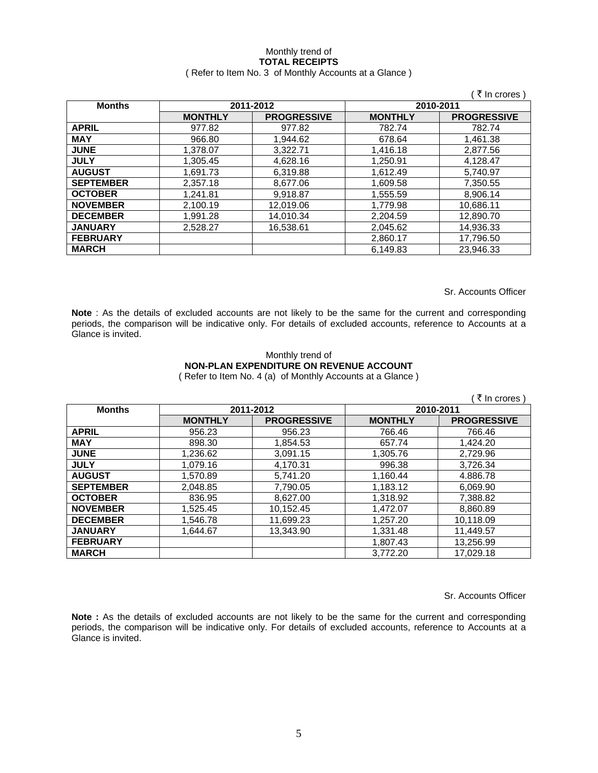### Monthly trend of **TOTAL RECEIPTS**  ( Refer to Item No. 3 of Monthly Accounts at a Glance )

|                  |                |                    |                | ं ₹ In crores )    |
|------------------|----------------|--------------------|----------------|--------------------|
| <b>Months</b>    | 2011-2012      |                    |                | 2010-2011          |
|                  | <b>MONTHLY</b> | <b>PROGRESSIVE</b> | <b>MONTHLY</b> | <b>PROGRESSIVE</b> |
| <b>APRIL</b>     | 977.82         | 977.82             | 782.74         | 782.74             |
| <b>MAY</b>       | 966.80         | 1,944.62           | 678.64         | 1,461.38           |
| <b>JUNE</b>      | 1,378.07       | 3,322.71           | 1,416.18       | 2,877.56           |
| <b>JULY</b>      | 1.305.45       | 4.628.16           | 1.250.91       | 4.128.47           |
| <b>AUGUST</b>    | 1.691.73       | 6.319.88           | 1.612.49       | 5.740.97           |
| <b>SEPTEMBER</b> | 2.357.18       | 8,677.06           | 1,609.58       | 7.350.55           |
| <b>OCTOBER</b>   | 1,241.81       | 9,918.87           | 1,555.59       | 8,906.14           |
| <b>NOVEMBER</b>  | 2,100.19       | 12,019.06          | 1,779.98       | 10,686.11          |
| <b>DECEMBER</b>  | 1,991.28       | 14,010.34          | 2,204.59       | 12,890.70          |
| <b>JANUARY</b>   | 2,528.27       | 16,538.61          | 2,045.62       | 14,936.33          |
| <b>FEBRUARY</b>  |                |                    | 2,860.17       | 17,796.50          |
| <b>MARCH</b>     |                |                    | 6,149.83       | 23,946.33          |

Sr. Accounts Officer

**Note** : As the details of excluded accounts are not likely to be the same for the current and corresponding periods, the comparison will be indicative only. For details of excluded accounts, reference to Accounts at a Glance is invited.

#### Monthly trend of **NON-PLAN EXPENDITURE ON REVENUE ACCOUNT**  ( Refer to Item No. 4 (a) of Monthly Accounts at a Glance )

( $\bar{\tau}$  In crores) **Months 2011-2012 2010-2011 MONTHLY PROGRESSIVE MONTHLY PROGRESSIVE APRIL** 956.23 956.23 766.46 766.46 **MAY** | 898.30 1,854.53 657.74 1,424.20 **JUNE** 1,236.62 3,091.15 1,305.76 2,729.96 **JULY** 1,079.16 4,170.31 996.38 3,726.34 **AUGUST** 1,570.89 5,741.20 1,160.44 4.886.78 **SEPTEMBER** | 2,048.85 | 7,790.05 | 1,183.12 | 6,069.90 **OCTOBER** | 836.95 | 8,627.00 | 1,318.92 | 7,388.82 **NOVEMBER** | 1,525.45 | 10,152.45 | 1,472.07 | 8,860.89 **DECEMBER** 1,546.78 11,699.23 1,257.20 10,118.09<br>**JANUARY** 1,644.67 13,343.90 1,331.48 11,449.57 **JANUARY** | 1,644.67 | 13,343.90 | 1,331.48 | 11,449.57 **FEBRUARY 1,807.43** 13,256.99 **MARCH** 3,772.20 17,029.18

Sr. Accounts Officer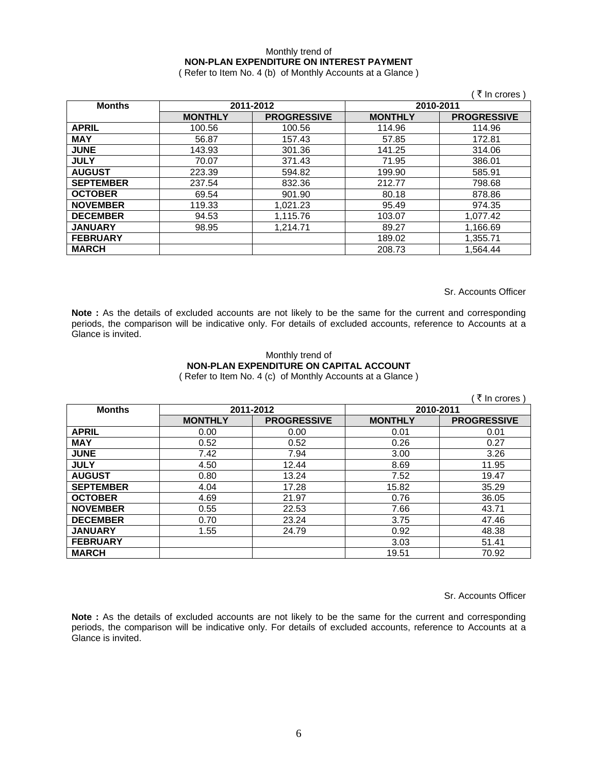### Monthly trend of **NON-PLAN EXPENDITURE ON INTEREST PAYMENT**

( Refer to Item No. 4 (b) of Monthly Accounts at a Glance )

|                  |                |                    |                | (₹ In crores)      |
|------------------|----------------|--------------------|----------------|--------------------|
| <b>Months</b>    |                | 2011-2012          |                | 2010-2011          |
|                  | <b>MONTHLY</b> | <b>PROGRESSIVE</b> | <b>MONTHLY</b> | <b>PROGRESSIVE</b> |
| <b>APRIL</b>     | 100.56         | 100.56             | 114.96         | 114.96             |
| <b>MAY</b>       | 56.87          | 157.43             | 57.85          | 172.81             |
| <b>JUNE</b>      | 143.93         | 301.36             | 141.25         | 314.06             |
| <b>JULY</b>      | 70.07          | 371.43             | 71.95          | 386.01             |
| <b>AUGUST</b>    | 223.39         | 594.82             | 199.90         | 585.91             |
| <b>SEPTEMBER</b> | 237.54         | 832.36             | 212.77         | 798.68             |
| <b>OCTOBER</b>   | 69.54          | 901.90             | 80.18          | 878.86             |
| <b>NOVEMBER</b>  | 119.33         | 1,021.23           | 95.49          | 974.35             |
| <b>DECEMBER</b>  | 94.53          | 1,115.76           | 103.07         | 1,077.42           |
| <b>JANUARY</b>   | 98.95          | 1,214.71           | 89.27          | 1,166.69           |
| <b>FEBRUARY</b>  |                |                    | 189.02         | 1,355.71           |
| <b>MARCH</b>     |                |                    | 208.73         | 1,564.44           |

Sr. Accounts Officer

Note : As the details of excluded accounts are not likely to be the same for the current and corresponding periods, the comparison will be indicative only. For details of excluded accounts, reference to Accounts at a Glance is invited.

### Monthly trend of **NON-PLAN EXPENDITURE ON CAPITAL ACCOUNT**  ( Refer to Item No. 4 (c) of Monthly Accounts at a Glance )

|                  |                |                    |                | ( ₹ In crores)     |
|------------------|----------------|--------------------|----------------|--------------------|
| <b>Months</b>    | 2011-2012      |                    | 2010-2011      |                    |
|                  | <b>MONTHLY</b> | <b>PROGRESSIVE</b> | <b>MONTHLY</b> | <b>PROGRESSIVE</b> |
| <b>APRIL</b>     | 0.00           | 0.00               | 0.01           | 0.01               |
| <b>MAY</b>       | 0.52           | 0.52               | 0.26           | 0.27               |
| <b>JUNE</b>      | 7.42           | 7.94               | 3.00           | 3.26               |
| <b>JULY</b>      | 4.50           | 12.44              | 8.69           | 11.95              |
| <b>AUGUST</b>    | 0.80           | 13.24              | 7.52           | 19.47              |
| <b>SEPTEMBER</b> | 4.04           | 17.28              | 15.82          | 35.29              |
| <b>OCTOBER</b>   | 4.69           | 21.97              | 0.76           | 36.05              |
| <b>NOVEMBER</b>  | 0.55           | 22.53              | 7.66           | 43.71              |
| <b>DECEMBER</b>  | 0.70           | 23.24              | 3.75           | 47.46              |
| <b>JANUARY</b>   | 1.55           | 24.79              | 0.92           | 48.38              |
| <b>FEBRUARY</b>  |                |                    | 3.03           | 51.41              |
| <b>MARCH</b>     |                |                    | 19.51          | 70.92              |

Sr. Accounts Officer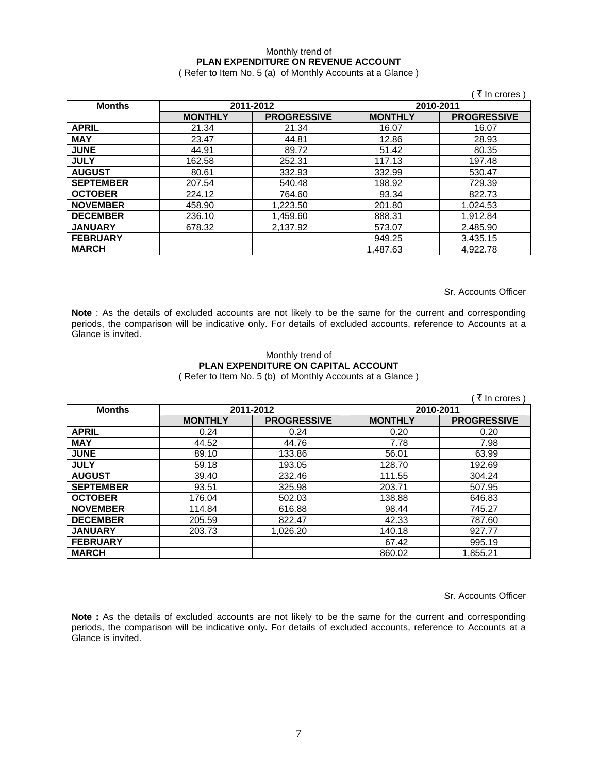### Monthly trend of **PLAN EXPENDITURE ON REVENUE ACCOUNT**

( Refer to Item No. 5 (a) of Monthly Accounts at a Glance )

|                  |                |                    |                | ∶ रे In crores )   |
|------------------|----------------|--------------------|----------------|--------------------|
| <b>Months</b>    |                | 2011-2012          | 2010-2011      |                    |
|                  | <b>MONTHLY</b> | <b>PROGRESSIVE</b> | <b>MONTHLY</b> | <b>PROGRESSIVE</b> |
| <b>APRIL</b>     | 21.34          | 21.34              | 16.07          | 16.07              |
| <b>MAY</b>       | 23.47          | 44.81              | 12.86          | 28.93              |
| <b>JUNE</b>      | 44.91          | 89.72              | 51.42          | 80.35              |
| <b>JULY</b>      | 162.58         | 252.31             | 117.13         | 197.48             |
| <b>AUGUST</b>    | 80.61          | 332.93             | 332.99         | 530.47             |
| <b>SEPTEMBER</b> | 207.54         | 540.48             | 198.92         | 729.39             |
| <b>OCTOBER</b>   | 224.12         | 764.60             | 93.34          | 822.73             |
| <b>NOVEMBER</b>  | 458.90         | 1,223.50           | 201.80         | 1,024.53           |
| <b>DECEMBER</b>  | 236.10         | 1,459.60           | 888.31         | 1,912.84           |
| <b>JANUARY</b>   | 678.32         | 2,137.92           | 573.07         | 2,485.90           |
| <b>FEBRUARY</b>  |                |                    | 949.25         | 3,435.15           |
| <b>MARCH</b>     |                |                    | 1,487.63       | 4,922.78           |

Sr. Accounts Officer

**Note** : As the details of excluded accounts are not likely to be the same for the current and corresponding periods, the comparison will be indicative only. For details of excluded accounts, reference to Accounts at a Glance is invited.

### Monthly trend of **PLAN EXPENDITURE ON CAPITAL ACCOUNT**  ( Refer to Item No. 5 (b) of Monthly Accounts at a Glance )

|                  |                |                    |                | ( ₹ In crores)     |  |
|------------------|----------------|--------------------|----------------|--------------------|--|
| <b>Months</b>    | 2011-2012      |                    |                | 2010-2011          |  |
|                  | <b>MONTHLY</b> | <b>PROGRESSIVE</b> | <b>MONTHLY</b> | <b>PROGRESSIVE</b> |  |
| <b>APRIL</b>     | 0.24           | 0.24               | 0.20           | 0.20               |  |
| <b>MAY</b>       | 44.52          | 44.76              | 7.78           | 7.98               |  |
| <b>JUNE</b>      | 89.10          | 133.86             | 56.01          | 63.99              |  |
| <b>JULY</b>      | 59.18          | 193.05             | 128.70         | 192.69             |  |
| <b>AUGUST</b>    | 39.40          | 232.46             | 111.55         | 304.24             |  |
| <b>SEPTEMBER</b> | 93.51          | 325.98             | 203.71         | 507.95             |  |
| <b>OCTOBER</b>   | 176.04         | 502.03             | 138.88         | 646.83             |  |
| <b>NOVEMBER</b>  | 114.84         | 616.88             | 98.44          | 745.27             |  |
| <b>DECEMBER</b>  | 205.59         | 822.47             | 42.33          | 787.60             |  |
| <b>JANUARY</b>   | 203.73         | 1.026.20           | 140.18         | 927.77             |  |
| <b>FEBRUARY</b>  |                |                    | 67.42          | 995.19             |  |
| <b>MARCH</b>     |                |                    | 860.02         | 1,855.21           |  |

Sr. Accounts Officer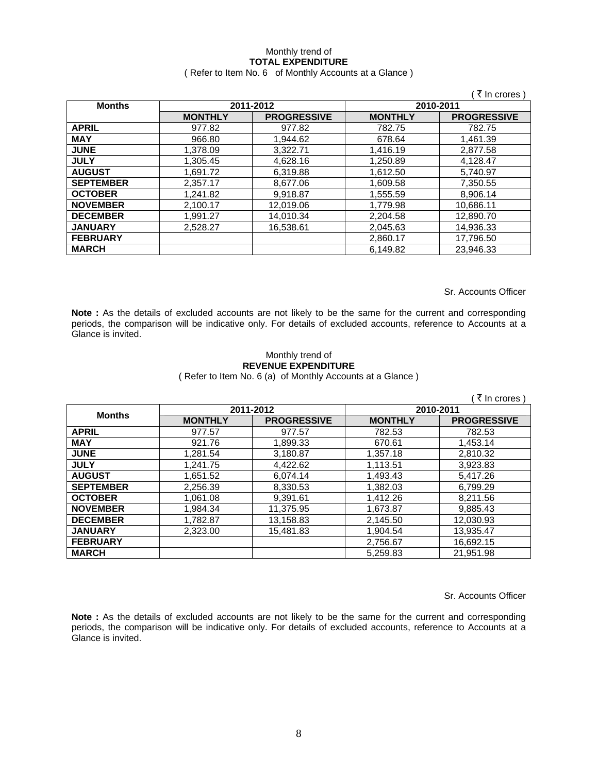# Monthly trend of **TOTAL EXPENDITURE**

### ( Refer to Item No. 6 of Monthly Accounts at a Glance )

|                  |                        |                    |                | ₹ In crores        |
|------------------|------------------------|--------------------|----------------|--------------------|
| <b>Months</b>    | 2011-2012<br>2010-2011 |                    |                |                    |
|                  | <b>MONTHLY</b>         | <b>PROGRESSIVE</b> | <b>MONTHLY</b> | <b>PROGRESSIVE</b> |
| <b>APRIL</b>     | 977.82                 | 977.82             | 782.75         | 782.75             |
| <b>MAY</b>       | 966.80                 | 1.944.62           | 678.64         | 1.461.39           |
| <b>JUNE</b>      | 1,378.09               | 3,322.71           | 1,416.19       | 2,877.58           |
| <b>JULY</b>      | 1,305.45               | 4,628.16           | 1,250.89       | 4,128.47           |
| <b>AUGUST</b>    | 1,691.72               | 6,319.88           | 1,612.50       | 5,740.97           |
| <b>SEPTEMBER</b> | 2,357.17               | 8,677.06           | 1,609.58       | 7,350.55           |
| <b>OCTOBER</b>   | 1,241.82               | 9,918.87           | 1,555.59       | 8,906.14           |
| <b>NOVEMBER</b>  | 2,100.17               | 12,019.06          | 1,779.98       | 10,686.11          |
| <b>DECEMBER</b>  | 1,991.27               | 14,010.34          | 2,204.58       | 12,890.70          |
| <b>JANUARY</b>   | 2,528.27               | 16,538.61          | 2,045.63       | 14,936.33          |
| <b>FEBRUARY</b>  |                        |                    | 2,860.17       | 17,796.50          |
| <b>MARCH</b>     |                        |                    | 6,149.82       | 23,946.33          |

Sr. Accounts Officer

**Note :** As the details of excluded accounts are not likely to be the same for the current and corresponding periods, the comparison will be indicative only. For details of excluded accounts, reference to Accounts at a Glance is invited.

### Monthly trend of **REVENUE EXPENDITURE**  ( Refer to Item No. 6 (a) of Monthly Accounts at a Glance )

|                  |                |                    |                | ₹ In crores )      |
|------------------|----------------|--------------------|----------------|--------------------|
| <b>Months</b>    | 2011-2012      |                    | 2010-2011      |                    |
|                  | <b>MONTHLY</b> | <b>PROGRESSIVE</b> | <b>MONTHLY</b> | <b>PROGRESSIVE</b> |
| <b>APRIL</b>     | 977.57         | 977.57             | 782.53         | 782.53             |
| <b>MAY</b>       | 921.76         | 1,899.33           | 670.61         | 1,453.14           |
| <b>JUNE</b>      | 1,281.54       | 3,180.87           | 1,357.18       | 2,810.32           |
| <b>JULY</b>      | 1.241.75       | 4,422.62           | 1,113.51       | 3,923.83           |
| <b>AUGUST</b>    | 1,651.52       | 6,074.14           | 1.493.43       | 5.417.26           |
| <b>SEPTEMBER</b> | 2,256.39       | 8,330.53           | 1.382.03       | 6.799.29           |
| <b>OCTOBER</b>   | 1,061.08       | 9,391.61           | 1,412.26       | 8,211.56           |
| <b>NOVEMBER</b>  | 1,984.34       | 11,375.95          | 1,673.87       | 9,885.43           |
| <b>DECEMBER</b>  | 1,782.87       | 13,158.83          | 2,145.50       | 12,030.93          |
| <b>JANUARY</b>   | 2.323.00       | 15.481.83          | 1.904.54       | 13,935.47          |
| <b>FEBRUARY</b>  |                |                    | 2,756.67       | 16,692.15          |
| <b>MARCH</b>     |                |                    | 5.259.83       | 21.951.98          |

Sr. Accounts Officer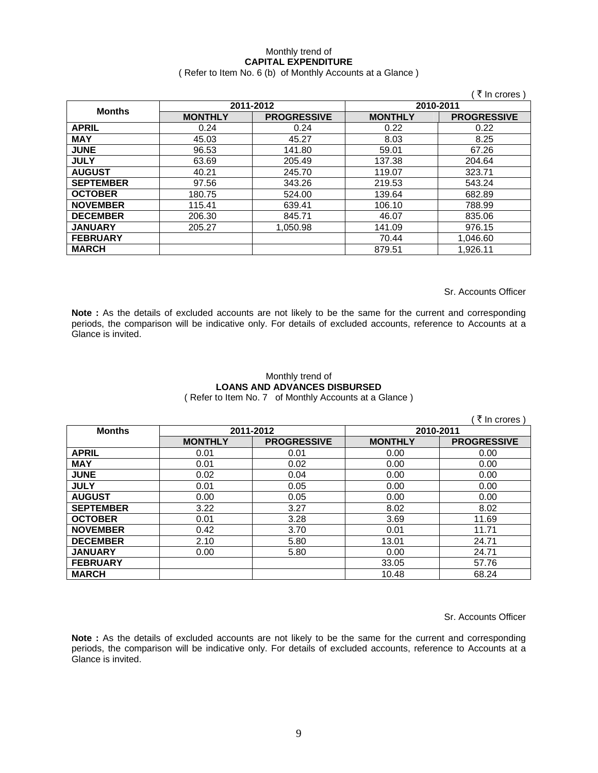## Monthly trend of **CAPITAL EXPENDITURE**

### ( Refer to Item No. 6 (b) of Monthly Accounts at a Glance )

|                  |                |                    |                | ₹ In crores        |
|------------------|----------------|--------------------|----------------|--------------------|
| <b>Months</b>    | 2011-2012      |                    | 2010-2011      |                    |
|                  | <b>MONTHLY</b> | <b>PROGRESSIVE</b> | <b>MONTHLY</b> | <b>PROGRESSIVE</b> |
| <b>APRIL</b>     | 0.24           | 0.24               | 0.22           | 0.22               |
| <b>MAY</b>       | 45.03          | 45.27              | 8.03           | 8.25               |
| <b>JUNE</b>      | 96.53          | 141.80             | 59.01          | 67.26              |
| <b>JULY</b>      | 63.69          | 205.49             | 137.38         | 204.64             |
| <b>AUGUST</b>    | 40.21          | 245.70             | 119.07         | 323.71             |
| <b>SEPTEMBER</b> | 97.56          | 343.26             | 219.53         | 543.24             |
| <b>OCTOBER</b>   | 180.75         | 524.00             | 139.64         | 682.89             |
| <b>NOVEMBER</b>  | 115.41         | 639.41             | 106.10         | 788.99             |
| <b>DECEMBER</b>  | 206.30         | 845.71             | 46.07          | 835.06             |
| <b>JANUARY</b>   | 205.27         | 1.050.98           | 141.09         | 976.15             |
| <b>FEBRUARY</b>  |                |                    | 70.44          | 1,046.60           |
| <b>MARCH</b>     |                |                    | 879.51         | 1,926.11           |

Sr. Accounts Officer

**Note :** As the details of excluded accounts are not likely to be the same for the current and corresponding periods, the comparison will be indicative only. For details of excluded accounts, reference to Accounts at a Glance is invited.

## Monthly trend of **LOANS AND ADVANCES DISBURSED**

( Refer to Item No. 7 of Monthly Accounts at a Glance )

|                  |                |                    |                | ्रे In crores )    |
|------------------|----------------|--------------------|----------------|--------------------|
| <b>Months</b>    | 2011-2012      |                    | 2010-2011      |                    |
|                  | <b>MONTHLY</b> | <b>PROGRESSIVE</b> | <b>MONTHLY</b> | <b>PROGRESSIVE</b> |
| <b>APRIL</b>     | 0.01           | 0.01               | 0.00           | 0.00               |
| <b>MAY</b>       | 0.01           | 0.02               | 0.00           | 0.00               |
| <b>JUNE</b>      | 0.02           | 0.04               | 0.00           | 0.00               |
| <b>JULY</b>      | 0.01           | 0.05               | 0.00           | 0.00               |
| <b>AUGUST</b>    | 0.00           | 0.05               | 0.00           | 0.00               |
| <b>SEPTEMBER</b> | 3.22           | 3.27               | 8.02           | 8.02               |
| <b>OCTOBER</b>   | 0.01           | 3.28               | 3.69           | 11.69              |
| <b>NOVEMBER</b>  | 0.42           | 3.70               | 0.01           | 11.71              |
| <b>DECEMBER</b>  | 2.10           | 5.80               | 13.01          | 24.71              |
| <b>JANUARY</b>   | 0.00           | 5.80               | 0.00           | 24.71              |
| <b>FEBRUARY</b>  |                |                    | 33.05          | 57.76              |
| <b>MARCH</b>     |                |                    | 10.48          | 68.24              |

Sr. Accounts Officer